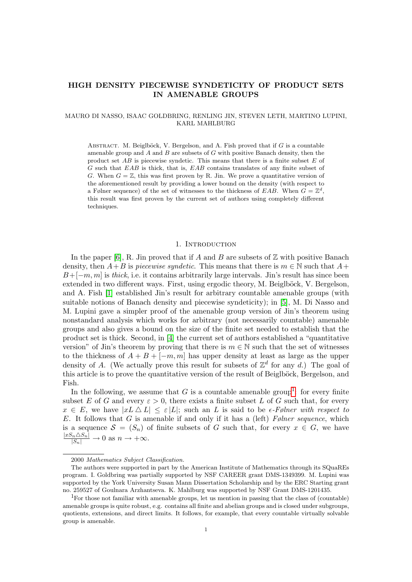# HIGH DENSITY PIECEWISE SYNDETICITY OF PRODUCT SETS IN AMENABLE GROUPS

## MAURO DI NASSO, ISAAC GOLDBRING, RENLING JIN, STEVEN LETH, MARTINO LUPINI, KARL MAHLBURG

ABSTRACT. M. Beiglböck, V. Bergelson, and A. Fish proved that if  $G$  is a countable amenable group and  $A$  and  $B$  are subsets of  $G$  with positive Banach density, then the product set  $AB$  is piecewise syndetic. This means that there is a finite subset  $E$  of G such that EAB is thick, that is, EAB contains translates of any finite subset of G. When  $G = \mathbb{Z}$ , this was first proven by R. Jin. We prove a quantitative version of the aforementioned result by providing a lower bound on the density (with respect to a Følner sequence) of the set of witnesses to the thickness of EAB. When  $G = \mathbb{Z}^d$ , this result was first proven by the current set of authors using completely different techniques.

#### 1. INTRODUCTION

In the paper [\[6\]](#page-6-0), R. Jin proved that if A and B are subsets of  $\mathbb Z$  with positive Banach density, then  $A+B$  is *piecewise syndetic*. This means that there is  $m \in \mathbb{N}$  such that  $A+$  $B+[-m, m]$  is thick, i.e. it contains arbitrarily large intervals. Jin's result has since been extended in two different ways. First, using ergodic theory, M. Beiglböck, V. Bergelson, and A. Fish [\[1\]](#page-6-1) established Jin's result for arbitrary countable amenable groups (with suitable notions of Banach density and piecewise syndeticity); in [\[5\]](#page-6-2), M. Di Nasso and M. Lupini gave a simpler proof of the amenable group version of Jin's theorem using nonstandard analysis which works for arbitrary (not necessarily countable) amenable groups and also gives a bound on the size of the finite set needed to establish that the product set is thick. Second, in [\[4\]](#page-6-3) the current set of authors established a "quantitative version" of Jin's theorem by proving that there is  $m \in \mathbb{N}$  such that the set of witnesses to the thickness of  $A + B + [-m, m]$  has upper density at least as large as the upper density of A. (We actually prove this result for subsets of  $\mathbb{Z}^d$  for any d.) The goal of this article is to prove the quantitative version of the result of Beiglböck, Bergelson, and Fish.

In the following, we assume that G is a countable amenable group<sup>[1](#page-0-0)</sup>: for every finite subset E of G and every  $\varepsilon > 0$ , there exists a finite subset L of G such that, for every  $x \in E$ , we have  $|xL \Delta L| \leq \varepsilon |L|$ ; such an L is said to be  $\epsilon$ -Følner with respect to E. It follows that G is amenable if and only if it has a (left) Følner sequence, which is a sequence  $S = (S_n)$  of finite subsets of G such that, for every  $x \in G$ , we have  $\frac{|xS_n \triangle S_n|}{|S_n|} \to 0$  as  $n \to +\infty$ .

<sup>2000</sup> Mathematics Subject Classification.

The authors were supported in part by the American Institute of Mathematics through its SQuaREs program. I. Goldbring was partially supported by NSF CAREER grant DMS-1349399. M. Lupini was supported by the York University Susan Mann Dissertation Scholarship and by the ERC Starting grant no. 259527 of Goulnara Arzhantseva. K. Mahlburg was supported by NSF Grant DMS-1201435.

<span id="page-0-0"></span><sup>1</sup>For those not familiar with amenable groups, let us mention in passing that the class of (countable) amenable groups is quite robust, e.g. contains all finite and abelian groups and is closed under subgroups, quotients, extensions, and direct limits. It follows, for example, that every countable virtually solvable group is amenable.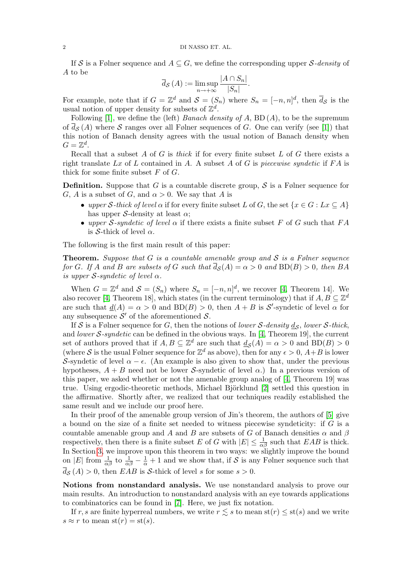If S is a Følner sequence and  $A \subseteq G$ , we define the corresponding upper S-density of A to be

$$
\overline{d}_{\mathcal{S}}(A) := \limsup_{n \to +\infty} \frac{|A \cap S_n|}{|S_n|}.
$$

For example, note that if  $G = \mathbb{Z}^d$  and  $\mathcal{S} = (S_n)$  where  $S_n = [-n, n]^d$ , then  $\bar{d}_{\mathcal{S}}$  is the usual notion of upper density for subsets of  $\mathbb{Z}^d$ .

Following [\[1\]](#page-6-1), we define the (left) Banach density of A,  $BD(A)$ , to be the supremum of  $\overline{d}_S(A)$  where S ranges over all Følner sequences of G. One can verify (see [\[1\]](#page-6-1)) that this notion of Banach density agrees with the usual notion of Banach density when  $G=\mathbb{Z}^d$ .

Recall that a subset A of G is thick if for every finite subset L of G there exists a right translate Lx of L contained in A. A subset A of G is piecewise syndetic if  $FA$  is thick for some finite subset  $F$  of  $G$ .

**Definition.** Suppose that G is a countable discrete group, S is a Følner sequence for G, A is a subset of G, and  $\alpha > 0$ . We say that A is

- upper S-thick of level  $\alpha$  if for every finite subset L of G, the set  $\{x \in G : Lx \subseteq A\}$ has upper S-density at least  $\alpha$ ;
- upper S-syndetic of level  $\alpha$  if there exists a finite subset F of G such that FA is S-thick of level  $\alpha$ .

The following is the first main result of this paper:

**Theorem.** Suppose that G is a countable amenable group and S is a Følner sequence for G. If A and B are subsets of G such that  $\overline{d}_{\mathcal{S}}(A) = \alpha > 0$  and  $BD(B) > 0$ , then BA is upper S-syndetic of level  $\alpha$ .

When  $G = \mathbb{Z}^d$  and  $S = (S_n)$  where  $S_n = [-n, n]^d$ , we recover [\[4,](#page-6-3) Theorem 14]. We also recover [\[4,](#page-6-3) Theorem 18], which states (in the current terminology) that if  $A, B \subseteq \mathbb{Z}^d$ are such that  $\underline{d}(A) = \alpha > 0$  and  $BD(B) > 0$ , then  $A + B$  is  $S'$ -syndetic of level  $\alpha$  for any subsequence  $S'$  of the aforementioned S.

If S is a Følner sequence for G, then the notions of *lower* S-density  $\underline{d}_{\mathcal{S}}$ , *lower* S-thick, and lower S-syndetic can be defined in the obvious ways. In [\[4,](#page-6-3) Theorem 19], the current set of authors proved that if  $A, B \subseteq \mathbb{Z}^d$  are such that  $\underline{d}_{\mathcal{S}}(A) = \alpha > 0$  and  $BD(B) > 0$ (where S is the usual Følner sequence for  $\mathbb{Z}^d$  as above), then for any  $\epsilon > 0$ ,  $A + B$  is lower S-syndetic of level  $\alpha - \epsilon$ . (An example is also given to show that, under the previous hypotheses,  $A + B$  need not be lower S-syndetic of level  $\alpha$ .) In a previous version of this paper, we asked whether or not the amenable group analog of [\[4,](#page-6-3) Theorem 19] was true. Using ergodic-theoretic methods, Michael Björklund [\[2\]](#page-6-4) settled this question in the affirmative. Shortly after, we realized that our techniques readily established the same result and we include our proof here.

In their proof of the amenable group version of Jin's theorem, the authors of [\[5\]](#page-6-2) give a bound on the size of a finite set needed to witness piecewise syndeticity: if G is a countable amenable group and A and B are subsets of G of Banach densities  $\alpha$  and  $\beta$ respectively, then there is a finite subset E of G with  $|E| \leq \frac{1}{\alpha\beta}$  such that EAB is thick. In Section [3,](#page-5-0) we improve upon this theorem in two ways: we slightly improve the bound on |E| from  $\frac{1}{\alpha\beta}$  to  $\frac{1}{\alpha\beta} - \frac{1}{\alpha} + 1$  and we show that, if S is any Følner sequence such that  $\overline{d}_{\mathcal{S}}(A) > 0$ , then EAB is S-thick of level s for some  $s > 0$ .

Notions from nonstandard analysis. We use nonstandard analysis to prove our main results. An introduction to nonstandard analysis with an eye towards applications to combinatorics can be found in [\[7\]](#page-6-5). Here, we just fix notation.

If r, s are finite hyperreal numbers, we write  $r \lesssim s$  to mean  $\text{st}(r) \leq \text{st}(s)$  and we write  $s \approx r$  to mean  $\text{st}(r) = \text{st}(s)$ .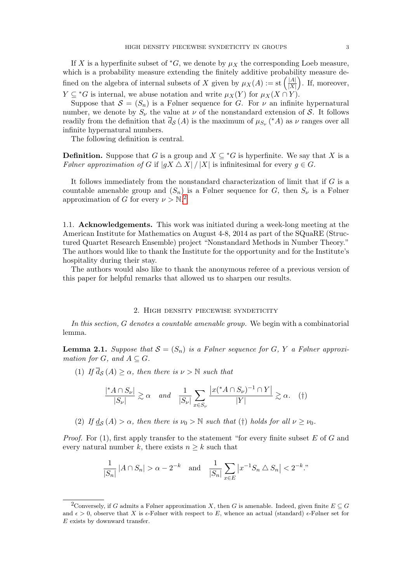If X is a hyperfinite subset of  ${}^*G$ , we denote by  $\mu_X$  the corresponding Loeb measure, which is a probability measure extending the finitely additive probability measure defined on the algebra of internal subsets of X given by  $\mu_X(A) := \text{st} \left( \frac{|A|}{|X|} \right)$  $\frac{|A|}{|X|}$ . If, moreover,  $Y \subseteq {}^*G$  is internal, we abuse notation and write  $\mu_X(Y)$  for  $\mu_X(X \cap Y)$ .

Suppose that  $S = (S_n)$  is a Følner sequence for G. For  $\nu$  an infinite hypernatural number, we denote by  $S_{\nu}$  the value at  $\nu$  of the nonstandard extension of S. It follows readily from the definition that  $\bar{d}_{\mathcal{S}}(A)$  is the maximum of  $\mu_{S_{\nu}}$  (\*A) as  $\nu$  ranges over all infinite hypernatural numbers.

The following definition is central.

**Definition.** Suppose that G is a group and  $X \subseteq {}^*G$  is hyperfinite. We say that X is a Følner approximation of G if  $|gX \triangle X| / |X|$  is infinitesimal for every  $g \in G$ .

It follows immediately from the nonstandard characterization of limit that if G is a countable amenable group and  $(S_n)$  is a Følner sequence for G, then  $S_{\nu}$  is a Følner approximation of G for every  $\nu > N<sup>2</sup>$  $\nu > N<sup>2</sup>$  $\nu > N<sup>2</sup>$ .

1.1. Acknowledgements. This work was initiated during a week-long meeting at the American Institute for Mathematics on August 4-8, 2014 as part of the SQuaRE (Structured Quartet Research Ensemble) project "Nonstandard Methods in Number Theory." The authors would like to thank the Institute for the opportunity and for the Institute's hospitality during their stay.

The authors would also like to thank the anonymous referee of a previous version of this paper for helpful remarks that allowed us to sharpen our results.

#### 2. High density piecewise syndeticity

In this section, G denotes a countable amenable group. We begin with a combinatorial lemma.

<span id="page-2-1"></span>**Lemma 2.1.** Suppose that  $S = (S_n)$  is a Følner sequence for G, Y a Følner approximation for G, and  $A \subseteq G$ .

(1) If  $\overline{d}_{\mathcal{S}}(A) \ge \alpha$ , then there is  $\nu > \mathbb{N}$  such that

$$
\frac{|{}^{\ast}A \cap S_{\nu}|}{|S_{\nu}|} \gtrsim \alpha \quad \text{and} \quad \frac{1}{|S_{\nu}|} \sum_{x \in S_{\nu}} \frac{|x({}^{\ast}A \cap S_{\nu})^{-1} \cap Y|}{|Y|} \gtrsim \alpha. \quad (\dagger)
$$

(2) If  $\underline{d}_{\mathcal{S}}(A) > \alpha$ , then there is  $\nu_0 > \mathbb{N}$  such that (†) holds for all  $\nu \geq \nu_0$ .

*Proof.* For  $(1)$ , first apply transfer to the statement "for every finite subset E of G and every natural number k, there exists  $n \geq k$  such that

$$
\frac{1}{|S_n|} |A \cap S_n| > \alpha - 2^{-k} \quad \text{and} \quad \frac{1}{|S_n|} \sum_{x \in E} |x^{-1} S_n \triangle S_n| < 2^{-k}.
$$

<span id="page-2-0"></span><sup>&</sup>lt;sup>2</sup>Conversely, if G admits a Følner approximation X, then G is amenable. Indeed, given finite  $E \subseteq G$ and  $\epsilon > 0$ , observe that X is  $\epsilon$ -Følner with respect to E, whence an actual (standard)  $\epsilon$ -Følner set for  $E$  exists by downward transfer.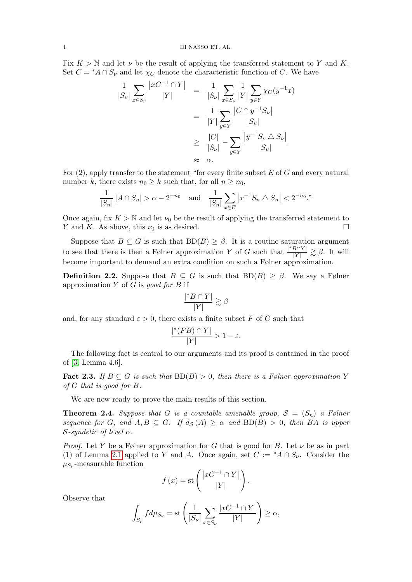Fix  $K > N$  and let  $\nu$  be the result of applying the transferred statement to Y and K. Set  $C = {}^*A \cap S_{\nu}$  and let  $\chi_C$  denote the characteristic function of C. We have

$$
\frac{1}{|S_{\nu}|} \sum_{x \in S_{\nu}} \frac{|xC^{-1} \cap Y|}{|Y|} = \frac{1}{|S_{\nu}|} \sum_{x \in S_{\nu}} \frac{1}{|Y|} \sum_{y \in Y} \chi_C(y^{-1}x)
$$

$$
= \frac{1}{|Y|} \sum_{y \in Y} \frac{|C \cap y^{-1}S_{\nu}|}{|S_{\nu}|}
$$

$$
\geq \frac{|C|}{|S_{\nu}|} - \sum_{y \in Y} \frac{|y^{-1}S_{\nu} \triangle S_{\nu}|}{|S_{\nu}|}
$$

$$
\approx \alpha.
$$

For  $(2)$ , apply transfer to the statement "for every finite subset E of G and every natural number k, there exists  $n_0 \geq k$  such that, for all  $n \geq n_0$ ,

$$
\frac{1}{|S_n|} |A \cap S_n| > \alpha - 2^{-n_0} \quad \text{and} \quad \frac{1}{|S_n|} \sum_{x \in E} |x^{-1} S_n \triangle S_n| < 2^{-n_0}.
$$

Once again, fix  $K > N$  and let  $\nu_0$  be the result of applying the transferred statement to Y and K. As above, this  $\nu_0$  is as desired.

Suppose that  $B \subseteq G$  is such that  $BD(B) \ge \beta$ . It is a routine saturation argument to see that there is then a Følner approximation Y of G such that  $\frac{|^*B\cap Y|}{|Y|} \gtrsim \beta$ . It will become important to demand an extra condition on such a Følner approximation.

**Definition 2.2.** Suppose that  $B \subseteq G$  is such that  $BD(B) \geq \beta$ . We say a Følner approximation  $Y$  of  $G$  is good for  $B$  if

$$
\frac{|^*B \cap Y|}{|Y|} \gtrsim \beta
$$

and, for any standard  $\varepsilon > 0$ , there exists a finite subset F of G such that

$$
\frac{|*(FB) \cap Y|}{|Y|} > 1 - \varepsilon.
$$

The following fact is central to our arguments and its proof is contained in the proof of [\[3,](#page-6-6) Lemma 4.6].

**Fact 2.3.** If  $B \subseteq G$  is such that  $BD(B) > 0$ , then there is a Følner approximation Y of G that is good for B.

We are now ready to prove the main results of this section.

<span id="page-3-0"></span>**Theorem 2.4.** Suppose that G is a countable amenable group,  $S = (S_n)$  a Følner sequence for G, and  $A, B \subseteq G$ . If  $\bar{d}_{\mathcal{S}}(A) \geq \alpha$  and  $BD(B) > 0$ , then BA is upper S-syndetic of level  $\alpha$ .

*Proof.* Let Y be a Følner approximation for G that is good for B. Let  $\nu$  be as in part (1) of Lemma [2.1](#page-2-1) applied to Y and A. Once again, set  $C := A \cap S_{\nu}$ . Consider the  $\mu_{S_{\nu}}$ -measurable function

$$
f(x) = \text{st}\left(\frac{|xC^{-1} \cap Y|}{|Y|}\right).
$$

Observe that

$$
\int_{S_{\nu}} f d\mu_{S_{\nu}} = \text{st}\left(\frac{1}{|S_{\nu}|} \sum_{x \in S_{\nu}} \frac{|xC^{-1} \cap Y|}{|Y|}\right) \ge \alpha,
$$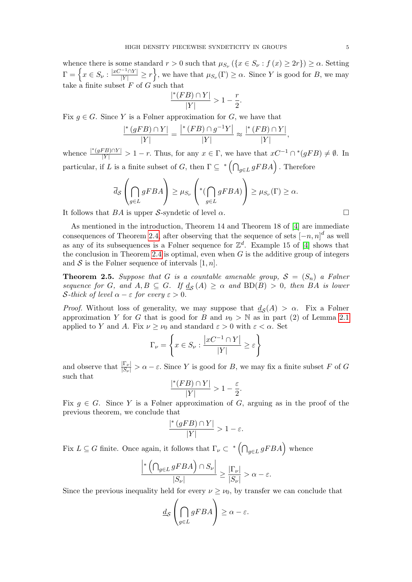whence there is some standard  $r > 0$  such that  $\mu_{S_{\nu}} (\{x \in S_{\nu} : f(x) \geq 2r\}) \geq \alpha$ . Setting  $\Gamma = \left\{x \in S_{\nu} : \frac{|xC^{-1} \cap Y|}{|Y|} \geq r \right\}$ , we have that  $\mu_{S_{\nu}}(\Gamma) \geq \alpha$ . Since Y is good for B, we may take a finite subset  $F$  of  $G$  such that

$$
\frac{|*(FB) \cap Y|}{|Y|} > 1 - \frac{r}{2}.
$$

Fix  $g \in G$ . Since Y is a Følner approximation for G, we have that

$$
\frac{\vert^*(gFB)\cap Y\vert}{\vert Y\vert}=\frac{\vert^*(FB)\cap g^{-1}Y\vert}{\vert Y\vert}\approx \frac{\vert^*(FB)\cap Y\vert}{\vert Y\vert},
$$

whence  $\frac{|*(gFB)\cap Y|}{|Y|} > 1-r$ . Thus, for any  $x \in \Gamma$ , we have that  $xC^{-1}\cap*(gFB) \neq \emptyset$ . In particular, if L is a finite subset of G, then  $\Gamma \subseteq {}^{*}(\bigcap_{g\in L} gFBA)$ . Therefore

$$
\overline{d}_{\mathcal{S}}\left(\bigcap_{g\in L}gFBA\right)\geq\mu_{S_{\nu}}\left(\text{Tr}\left(\bigcap_{g\in L}gFBA\right)\right)\geq\mu_{S_{\nu}}(\Gamma)\geq\alpha.
$$

It follows that  $BA$  is upper S-syndetic of level  $\alpha$ .

As mentioned in the introduction, Theorem 14 and Theorem 18 of [\[4\]](#page-6-3) are immediate consequences of Theorem [2.4,](#page-3-0) after observing that the sequence of sets  $[-n, n]^d$  as well as any of its subsequences is a Følner sequence for  $\mathbb{Z}^d$ . Example 15 of [\[4\]](#page-6-3) shows that the conclusion in Theorem [2.4](#page-3-0) is optimal, even when  $G$  is the additive group of integers and S is the Følner sequence of intervals  $[1, n]$ .

<span id="page-4-0"></span>**Theorem 2.5.** Suppose that G is a countable amenable group,  $S = (S_n)$  a Følner sequence for G, and  $A, B \subseteq G$ . If  $\underline{d}_{\mathcal{S}}(A) \geq \alpha$  and  $BD(B) > 0$ , then BA is lower S-thick of level  $\alpha - \varepsilon$  for every  $\varepsilon > 0$ .

*Proof.* Without loss of generality, we may suppose that  $\underline{d}_{\mathcal{S}}(A) > \alpha$ . Fix a Følner approximation Y for G that is good for B and  $\nu_0 > N$  as in part (2) of Lemma [2.1](#page-2-1) applied to Y and A. Fix  $\nu \geq \nu_0$  and standard  $\varepsilon > 0$  with  $\varepsilon < \alpha$ . Set

$$
\Gamma_{\nu} = \left\{ x \in S_{\nu} : \frac{|xC^{-1} \cap Y|}{|Y|} \ge \varepsilon \right\}
$$

and observe that  $\frac{|\Gamma_{\nu}|}{|S_{\nu}|} > \alpha - \varepsilon$ . Since Y is good for B, we may fix a finite subset F of G such that |

$$
\frac{\sqrt[k]{(FB)\cap Y}}{|Y|} > 1 - \frac{\varepsilon}{2}.
$$

Fix  $g \in G$ . Since Y is a Følner approximation of G, arguing as in the proof of the previous theorem, we conclude that

$$
\frac{|^*(gFB) \cap Y|}{|Y|} > 1 - \varepsilon.
$$

Fix  $L \subseteq G$  finite. Once again, it follows that  $\Gamma_{\nu} \subset {}^{*}(\bigcap_{g \in L} gFBA)$  whence

$$
\frac{\left|*\left(\bigcap_{g\in L}gFBA\right)\cap S_{\nu}\right|}{|S_{\nu}|}\geq \frac{|\Gamma_{\nu}|}{|S_{\nu}|}>\alpha-\varepsilon.
$$

Since the previous inequality held for every  $\nu \geq \nu_0$ , by transfer we can conclude that

$$
\underline{d}_{\mathcal{S}}\left(\bigcap_{g\in L} gFBA\right) \geq \alpha - \varepsilon.
$$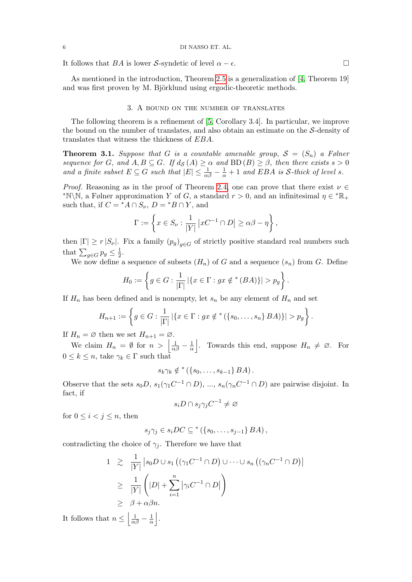It follows that BA is lower S-syndetic of level  $\alpha - \epsilon$ .

As mentioned in the introduction, Theorem [2.5](#page-4-0) is a generalization of [\[4,](#page-6-3) Theorem 19] and was first proven by M. Björklund using ergodic-theoretic methods.

### 3. A bound on the number of translates

<span id="page-5-0"></span>The following theorem is a refinement of [\[5,](#page-6-2) Corollary 3.4]. In particular, we improve the bound on the number of translates, and also obtain an estimate on the S-density of translates that witness the thickness of EBA.

**Theorem 3.1.** Suppose that G is a countable amenable group,  $S = (S_n)$  a Følner sequence for G, and  $A, B \subseteq G$ . If  $d_{\mathcal{S}}(A) \geq \alpha$  and  $BD(B) \geq \beta$ , then there exists  $s > 0$ and a finite subset  $E \subseteq G$  such that  $|E| \leq \frac{1}{\alpha\beta} - \frac{1}{\alpha} + 1$  and EBA is S-thick of level s.

*Proof.* Reasoning as in the proof of Theorem [2.4,](#page-3-0) one can prove that there exist  $\nu \in$ \*N\N, a Følner approximation Y of G, a standard  $r > 0$ , and an infinitesimal  $\eta \in {^*}\mathbb{R}_+$ such that, if  $C = {}^*A \cap S_{\nu}$ ,  $D = {}^*B \cap Y$ , and

$$
\Gamma := \left\{ x \in S_{\nu} : \frac{1}{|Y|} \left| xC^{-1} \cap D \right| \ge \alpha \beta - \eta \right\},\
$$

then  $|\Gamma| \ge r |S_{\nu}|$ . Fix a family  $(p_g)_{g \in G}$  of strictly positive standard real numbers such that  $\sum_{g \in G} p_g \leq \frac{1}{2}$  $rac{1}{2}$ .

We now define a sequence of subsets  $(H_n)$  of G and a sequence  $(s_n)$  from G. Define

$$
H_0 := \left\{ g \in G : \frac{1}{|\Gamma|} | \{ x \in \Gamma : gx \notin^*(BA) \} | > p_g \right\}.
$$

If  $H_n$  has been defined and is nonempty, let  $s_n$  be any element of  $H_n$  and set

$$
H_{n+1} := \left\{ g \in G : \frac{1}{|\Gamma|} | \{ x \in \Gamma : gx \notin^* (\{ s_0, \ldots, s_n \} B A) \} | > p_g \right\}.
$$

If  $H_n = \emptyset$  then we set  $H_{n+1} = \emptyset$ .

We claim  $H_n = \emptyset$  for  $n > \left| \frac{1}{\alpha \beta} - \frac{1}{\alpha} \right|$  $\frac{1}{\alpha}$ . Towards this end, suppose  $H_n \neq \emptyset$ . For  $0 \leq k \leq n$ , take  $\gamma_k \in \Gamma$  such that

$$
s_k \gamma_k \notin {}^*(\{s_0, \ldots, s_{k-1}\} \, BA).
$$

Observe that the sets  $s_0D, s_1(\gamma_1C^{-1}\cap D), ..., s_n(\gamma_nC^{-1}\cap D)$  are pairwise disjoint. In fact, if

$$
s_i D \cap s_j \gamma_j C^{-1} \neq \varnothing
$$

for  $0 \leq i < j \leq n$ , then

$$
s_j \gamma_j \in s_i DC \subseteq^* (\{s_0, \ldots, s_{j-1}\} \, BA),
$$

contradicting the choice of  $\gamma_i$ . Therefore we have that

$$
1 \geq \frac{1}{|Y|} |s_0 D \cup s_1 \left( (\gamma_1 C^{-1} \cap D) \cup \cdots \cup s_n \left( (\gamma_n C^{-1} \cap D) \right) \right)
$$
  
\n
$$
\geq \frac{1}{|Y|} \left( |D| + \sum_{i=1}^n |\gamma_i C^{-1} \cap D| \right)
$$
  
\n
$$
\geq \beta + \alpha \beta n.
$$

It follows that  $n \leq \left\lfloor \frac{1}{\alpha \beta} - \frac{1}{\alpha} \right\rfloor$  $\frac{1}{\alpha}$ .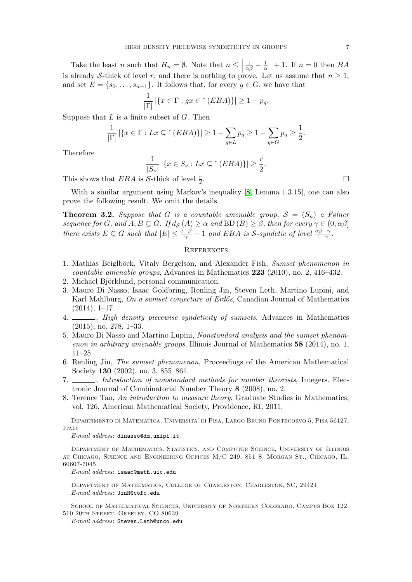Take the least n such that  $H_n = \emptyset$ . Note that  $n \leq \left| \frac{1}{\alpha \beta} - \frac{1}{\alpha} \right|$  $\frac{1}{\alpha}$  + 1. If  $n = 0$  then  $BA$ is already S-thick of level r, and there is nothing to prove. Let us assume that  $n \geq 1$ , and set  $E = \{s_0, \ldots, s_{n-1}\}.$  It follows that, for every  $g \in G$ , we have that

$$
\frac{1}{|\Gamma|} |\{x \in \Gamma : gx \in {}^*(EBA)\}| \ge 1 - p_g.
$$

Suppose that  $L$  is a finite subset of  $G$ . Then

$$
\frac{1}{|\Gamma|} |\{x \in \Gamma : Lx \subseteq {}^*(EBA)\}| \ge 1 - \sum_{g \in L} p_g \ge 1 - \sum_{g \in G} p_g \ge \frac{1}{2}.
$$

Therefore

$$
\frac{1}{|S_{\nu}|} |\{x \in S_{\nu} : Lx \subseteq^* (EBA)\}| \ge \frac{r}{2}.
$$
  
*S*-thick of level  $\frac{r}{2}$ .

This shows that  $EBA$  is S-thick of level  $\frac{r}{2}$ 

With a similar argument using Markov's inequality [\[8,](#page-6-7) Lemma 1.3.15], one can also prove the following result. We omit the details.

**Theorem 3.2.** Suppose that G is a countable amenable group,  $S = (S_n)$  a Følner sequence for G, and  $A, B \subseteq G$ . If  $d_{\mathcal{S}}(A) \geq \alpha$  and  $BD(B) \geq \beta$ , then for every  $\gamma \in (0, \alpha\beta]$ there exists  $E \subseteq G$  such that  $|E| \leq \frac{1-\beta}{\gamma} + 1$  and EBA is S-syndetic of level  $\frac{\alpha\beta-\gamma}{1-\gamma}$ .

#### **REFERENCES**

- <span id="page-6-1"></span>1. Mathias Beiglböck, Vitaly Bergelson, and Alexander Fish, Sumset phenomenon in countable amenable groups, Advances in Mathematics 223 (2010), no. 2, 416–432.
- <span id="page-6-4"></span>2. Michael Björklund, personal communication.
- <span id="page-6-6"></span>3. Mauro Di Nasso, Isaac Goldbring, Renling Jin, Steven Leth, Martino Lupini, and Karl Mahlburg, On a sumset conjecture of Erdős, Canadian Journal of Mathematics (2014), 1–17.
- <span id="page-6-3"></span>4.  $\_\_\_\_\$ gh density piecewise syndeticity of sumsets, Advances in Mathematics (2015), no. 278, 1–33.
- <span id="page-6-2"></span>5. Mauro Di Nasso and Martino Lupini, Nonstandard analysis and the sumset phenomenon in arbitrary amenable groups, Illinois Journal of Mathematics 58 (2014), no. 1, 11–25.
- <span id="page-6-0"></span>6. Renling Jin, The sumset phenomenon, Proceedings of the American Mathematical Society **130** (2002), no. 3, 855–861.
- <span id="page-6-5"></span>7.  $\frac{1}{100}$ , Introduction of nonstandard methods for number theorists, Integers. Electronic Journal of Combinatorial Number Theory 8 (2008), no. 2.
- <span id="page-6-7"></span>8. Terence Tao, An introduction to measure theory, Graduate Studies in Mathematics, vol. 126, American Mathematical Society, Providence, RI, 2011.

Dipartimento di Matematica, Universita' di Pisa, Largo Bruno Pontecorvo 5, Pisa 56127, ITALY

E-mail address: dinasso@dm.unipi.it

Department of Mathematics, Statistics, and Computer Science, University of Illinois at Chicago, Science and Engineering Offices M/C 249, 851 S. Morgan St., Chicago, IL, 60607-7045

E-mail address: isaac@math.uic.edu

Department of Mathematics, College of Charleston, Charleston, SC, 29424 E-mail address: JinR@cofc.edu

School of Mathematical Sciences, University of Northern Colorado, Campus Box 122, 510 20th Street, Greeley, CO 80639

E-mail address: Steven.Leth@unco.edu